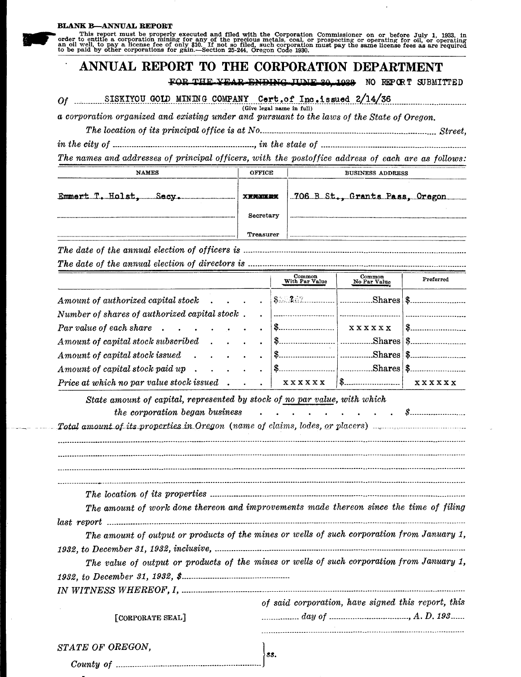This report must be properly executed and filed with the Corporation Commissioner on or before July 1, 1933, in order to entitle a corporation mining for any of the precious metals, coal, or prospecting or operating for oi

## ANNUAL REPORT TO THE CORPORATION DEPARTMENT

FOR THE YEAR ENDING HINE 20 1029 NO REPORT SUBMITTED

...**..............** 

Of SISKIYOU GOLD MINING COMPANY Cert.of Inc.issued  $2/14/36$ <br>(Give legal name in full)

a corporation organized and existing under and pursuant to the laws of the State of Oregon.

The names and addresses of principal officers, with the postoffice address of each are as follows:

| <b>NAMES</b>           | OFFICE           | <b>BUSINESS ADDRESS</b>         |
|------------------------|------------------|---------------------------------|
| Emmert T. Holst, Secy. | <b>XRNOLLEXK</b> | .706 B St., Grants Pass, Oragon |
|                        | Secretary        |                                 |
|                        | <b>Treasurer</b> |                                 |

|                                                                                                                                   | Common<br>With Par Value | Common<br>No Par Value | Preferred                                                          |
|-----------------------------------------------------------------------------------------------------------------------------------|--------------------------|------------------------|--------------------------------------------------------------------|
|                                                                                                                                   |                          |                        |                                                                    |
| Number of shares of authorized capital stock.                                                                                     |                          |                        |                                                                    |
| Par value of each share $\cdots$ $\cdots$ $\cdots$ $\cdots$ $\cdots$ $\cdots$                                                     |                          |                        | $\mathbf{X} \times \mathbf{X} \times \mathbf{X} \times \mathbf{X}$ |
| Amount of capital stock subscribed                                                                                                |                          |                        |                                                                    |
| Amount of capital stock issued                                                                                                    |                          |                        |                                                                    |
| $A$ mount of capital stock paid up $\ldots$ $\ldots$                                                                              |                          |                        |                                                                    |
| <i>Price at which no par value stock issued</i> $\begin{array}{ccc} \times \times \times \times \times \times \times \end{array}$ |                          |                        |                                                                    |

| State amount of capital, represented by stock of no par value, with which                  |  |  |  |  |  |
|--------------------------------------------------------------------------------------------|--|--|--|--|--|
|                                                                                            |  |  |  |  |  |
| Total amount of its properties in Oregon (name of claims, lodes, or placers)               |  |  |  |  |  |
|                                                                                            |  |  |  |  |  |
|                                                                                            |  |  |  |  |  |
|                                                                                            |  |  |  |  |  |
|                                                                                            |  |  |  |  |  |
| The amount of work done thereon and improvements made thereon since the time of filing     |  |  |  |  |  |
|                                                                                            |  |  |  |  |  |
| The amount of output or products of the mines or wells of such corporation from January 1, |  |  |  |  |  |
|                                                                                            |  |  |  |  |  |
| The value of output or products of the mines or wells of such corporation from January 1,  |  |  |  |  |  |
|                                                                                            |  |  |  |  |  |
|                                                                                            |  |  |  |  |  |
| of said corporation, have signed this report, this                                         |  |  |  |  |  |
|                                                                                            |  |  |  |  |  |
|                                                                                            |  |  |  |  |  |
|                                                                                            |  |  |  |  |  |
| SS.                                                                                        |  |  |  |  |  |
|                                                                                            |  |  |  |  |  |